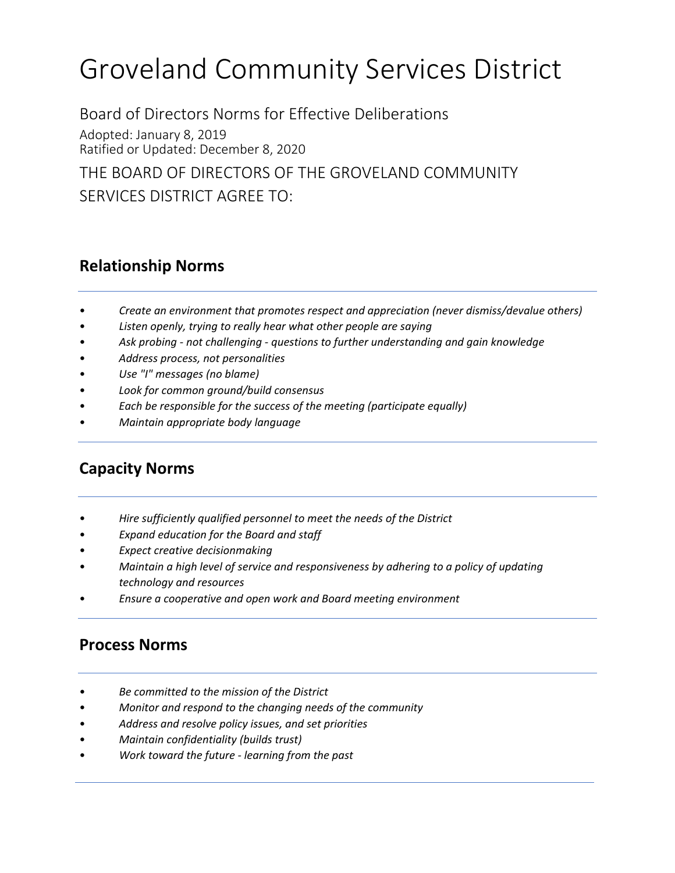# Groveland Community Services District

Board of Directors Norms for Effective Deliberations Adopted: January 8, 2019 Ratified or Updated: December 8, 2020

THE BOARD OF DIRECTORS OF THE GROVELAND COMMUNITY SERVICES DISTRICT AGREE TO:

## **Relationship Norms**

- *Create an environment that promotes respect and appreciation (never dismiss/devalue others)*
- *Listen openly, trying to really hear what other people are saying*
- *Ask probing not challenging questions to further understanding and gain knowledge*
- *Address process, not personalities*
- *Use "I" messages (no blame)*
- *Look for common ground/build consensus*
- *Each be responsible for the success of the meeting (participate equally)*
- *Maintain appropriate body language*

# **Capacity Norms**

- *Hire sufficiently qualified personnel to meet the needs of the District*
- *Expand education for the Board and staff*
- *Expect creative decisionmaking*
- *Maintain a high level of service and responsiveness by adhering to a policy of updating technology and resources*
- *Ensure a cooperative and open work and Board meeting environment*

## **Process Norms**

- *Be committed to the mission of the District*
- *Monitor and respond to the changing needs of the community*
- *Address and resolve policy issues, and set priorities*
- *Maintain confidentiality (builds trust)*
- *Work toward the future learning from the past*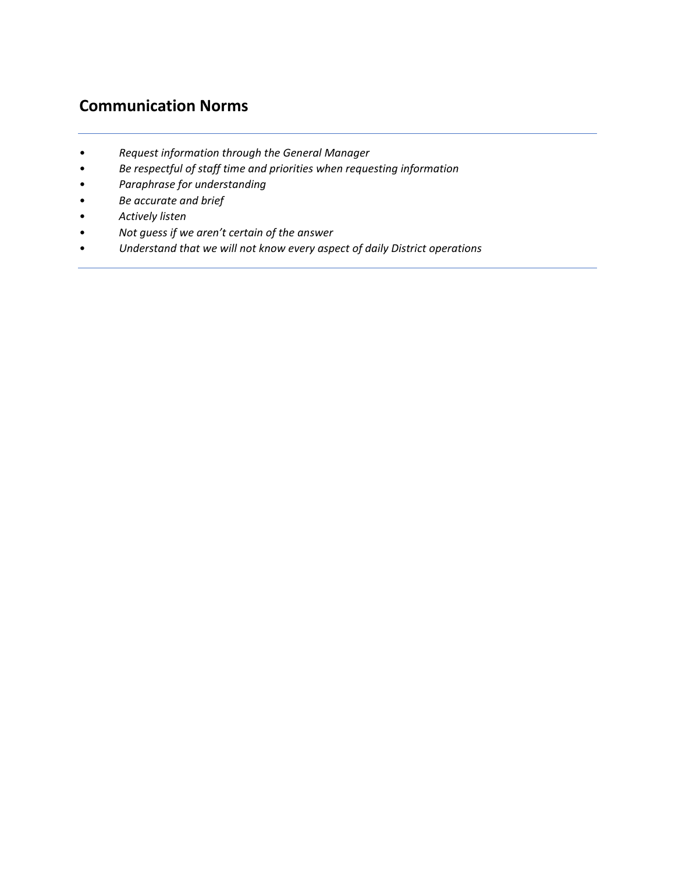# **Communication Norms**

- *Request information through the General Manager*
- *Be respectful of staff time and priorities when requesting information*
- *Paraphrase for understanding*
- *Be accurate and brief*
- *Actively listen*
- *Not guess if we aren't certain of the answer*
- *Understand that we will not know every aspect of daily District operations*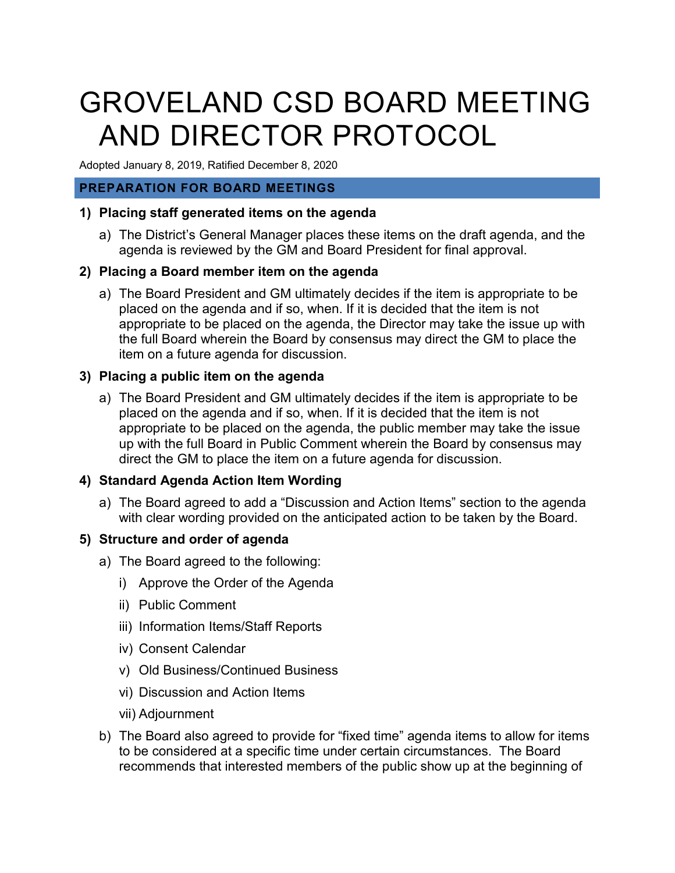# GROVELAND CSD BOARD MEETING AND DIRECTOR PROTOCOL

Adopted January 8, 2019, Ratified December 8, 2020

#### **PREPARATION FOR BOARD MEETINGS**

#### **1) Placing staff generated items on the agenda**

a) The District's General Manager places these items on the draft agenda, and the agenda is reviewed by the GM and Board President for final approval.

## **2) Placing a Board member item on the agenda**

a) The Board President and GM ultimately decides if the item is appropriate to be placed on the agenda and if so, when. If it is decided that the item is not appropriate to be placed on the agenda, the Director may take the issue up with the full Board wherein the Board by consensus may direct the GM to place the item on a future agenda for discussion.

## **3) Placing a public item on the agenda**

a) The Board President and GM ultimately decides if the item is appropriate to be placed on the agenda and if so, when. If it is decided that the item is not appropriate to be placed on the agenda, the public member may take the issue up with the full Board in Public Comment wherein the Board by consensus may direct the GM to place the item on a future agenda for discussion.

## **4) Standard Agenda Action Item Wording**

a) The Board agreed to add a "Discussion and Action Items" section to the agenda with clear wording provided on the anticipated action to be taken by the Board.

#### **5) Structure and order of agenda**

- a) The Board agreed to the following:
	- i) Approve the Order of the Agenda
	- ii) Public Comment
	- iii) Information Items/Staff Reports
	- iv) Consent Calendar
	- v) Old Business/Continued Business
	- vi) Discussion and Action Items
	- vii) Adjournment
- b) The Board also agreed to provide for "fixed time" agenda items to allow for items to be considered at a specific time under certain circumstances. The Board recommends that interested members of the public show up at the beginning of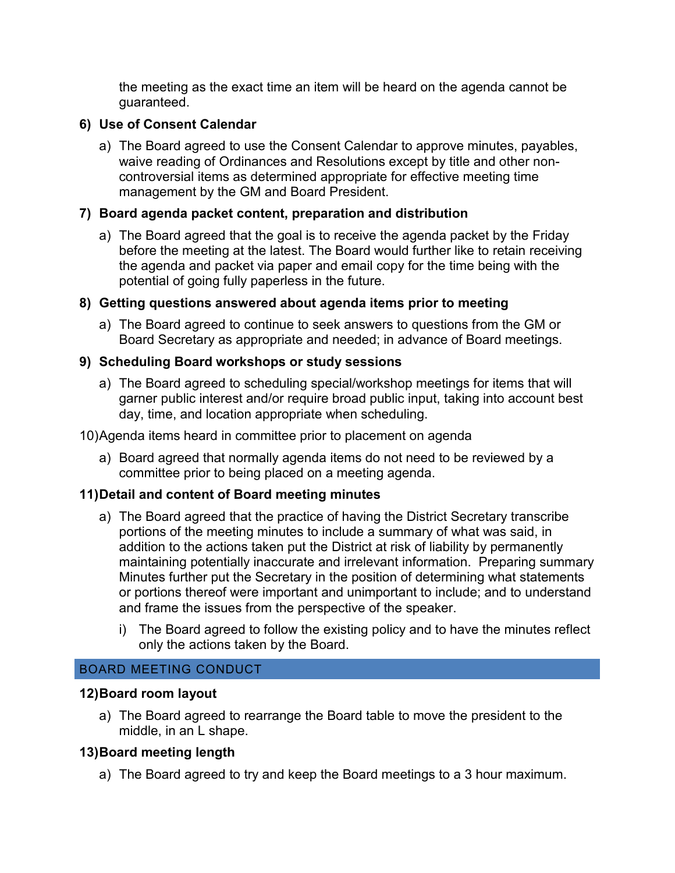the meeting as the exact time an item will be heard on the agenda cannot be guaranteed.

## **6) Use of Consent Calendar**

a) The Board agreed to use the Consent Calendar to approve minutes, payables, waive reading of Ordinances and Resolutions except by title and other noncontroversial items as determined appropriate for effective meeting time management by the GM and Board President.

## **7) Board agenda packet content, preparation and distribution**

a) The Board agreed that the goal is to receive the agenda packet by the Friday before the meeting at the latest. The Board would further like to retain receiving the agenda and packet via paper and email copy for the time being with the potential of going fully paperless in the future.

## **8) Getting questions answered about agenda items prior to meeting**

a) The Board agreed to continue to seek answers to questions from the GM or Board Secretary as appropriate and needed; in advance of Board meetings.

## **9) Scheduling Board workshops or study sessions**

a) The Board agreed to scheduling special/workshop meetings for items that will garner public interest and/or require broad public input, taking into account best day, time, and location appropriate when scheduling.

#### 10)Agenda items heard in committee prior to placement on agenda

a) Board agreed that normally agenda items do not need to be reviewed by a committee prior to being placed on a meeting agenda.

## **11)Detail and content of Board meeting minutes**

- a) The Board agreed that the practice of having the District Secretary transcribe portions of the meeting minutes to include a summary of what was said, in addition to the actions taken put the District at risk of liability by permanently maintaining potentially inaccurate and irrelevant information. Preparing summary Minutes further put the Secretary in the position of determining what statements or portions thereof were important and unimportant to include; and to understand and frame the issues from the perspective of the speaker.
	- i) The Board agreed to follow the existing policy and to have the minutes reflect only the actions taken by the Board.

#### BOARD MEETING CONDUCT

## **12)Board room layout**

a) The Board agreed to rearrange the Board table to move the president to the middle, in an L shape.

## **13)Board meeting length**

a) The Board agreed to try and keep the Board meetings to a 3 hour maximum.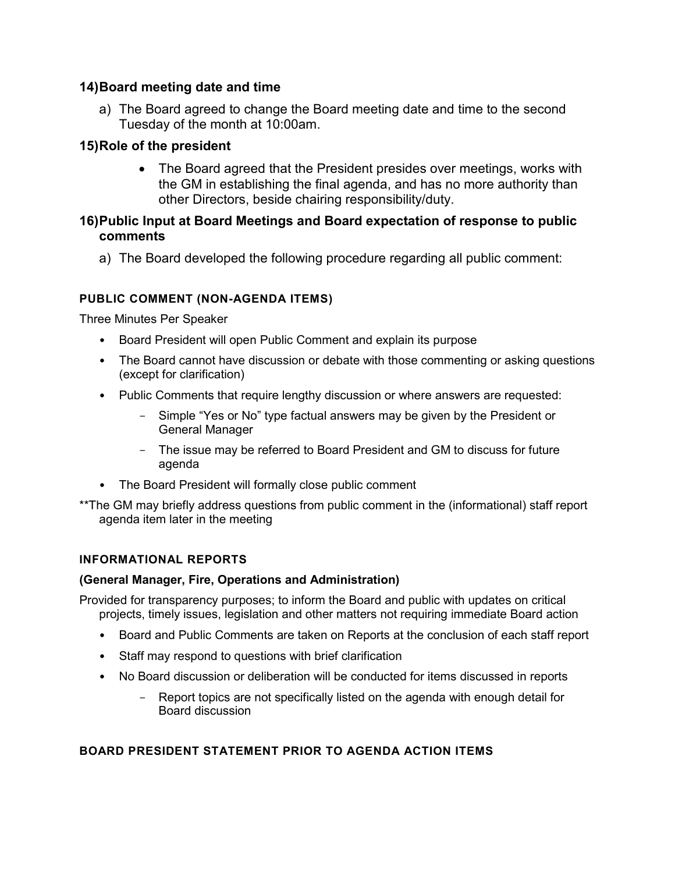#### **14)Board meeting date and time**

a) The Board agreed to change the Board meeting date and time to the second Tuesday of the month at 10:00am.

## **15)Role of the president**

• The Board agreed that the President presides over meetings, works with the GM in establishing the final agenda, and has no more authority than other Directors, beside chairing responsibility/duty.

#### **16)Public Input at Board Meetings and Board expectation of response to public comments**

a) The Board developed the following procedure regarding all public comment:

#### **PUBLIC COMMENT (NON-AGENDA ITEMS)**

Three Minutes Per Speaker

- Board President will open Public Comment and explain its purpose
- The Board cannot have discussion or debate with those commenting or asking questions (except for clarification)
- Public Comments that require lengthy discussion or where answers are requested:
	- Simple "Yes or No" type factual answers may be given by the President or General Manager
	- The issue may be referred to Board President and GM to discuss for future agenda
- The Board President will formally close public comment
- \*\*The GM may briefly address questions from public comment in the (informational) staff report agenda item later in the meeting

## **INFORMATIONAL REPORTS**

#### **(General Manager, Fire, Operations and Administration)**

Provided for transparency purposes; to inform the Board and public with updates on critical projects, timely issues, legislation and other matters not requiring immediate Board action

- Board and Public Comments are taken on Reports at the conclusion of each staff report
- Staff may respond to questions with brief clarification
- No Board discussion or deliberation will be conducted for items discussed in reports
	- Report topics are not specifically listed on the agenda with enough detail for Board discussion

#### **BOARD PRESIDENT STATEMENT PRIOR TO AGENDA ACTION ITEMS**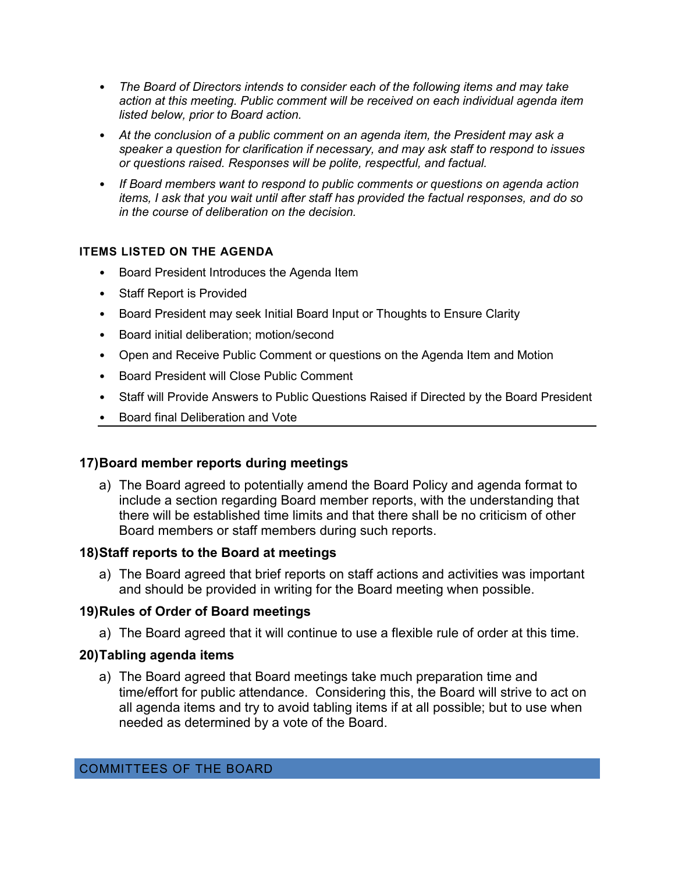- *The Board of Directors intends to consider each of the following items and may take action at this meeting. Public comment will be received on each individual agenda item listed below, prior to Board action.*
- *At the conclusion of a public comment on an agenda item, the President may ask a speaker a question for clarification if necessary, and may ask staff to respond to issues or questions raised. Responses will be polite, respectful, and factual.*
- *If Board members want to respond to public comments or questions on agenda action items, I ask that you wait until after staff has provided the factual responses, and do so in the course of deliberation on the decision.*

#### **ITEMS LISTED ON THE AGENDA**

- Board President Introduces the Agenda Item
- Staff Report is Provided
- Board President may seek Initial Board Input or Thoughts to Ensure Clarity
- Board initial deliberation; motion/second
- Open and Receive Public Comment or questions on the Agenda Item and Motion
- Board President will Close Public Comment
- Staff will Provide Answers to Public Questions Raised if Directed by the Board President
- Board final Deliberation and Vote

#### **17)Board member reports during meetings**

a) The Board agreed to potentially amend the Board Policy and agenda format to include a section regarding Board member reports, with the understanding that there will be established time limits and that there shall be no criticism of other Board members or staff members during such reports.

#### **18)Staff reports to the Board at meetings**

a) The Board agreed that brief reports on staff actions and activities was important and should be provided in writing for the Board meeting when possible.

#### **19)Rules of Order of Board meetings**

a) The Board agreed that it will continue to use a flexible rule of order at this time.

#### **20)Tabling agenda items**

a) The Board agreed that Board meetings take much preparation time and time/effort for public attendance. Considering this, the Board will strive to act on all agenda items and try to avoid tabling items if at all possible; but to use when needed as determined by a vote of the Board.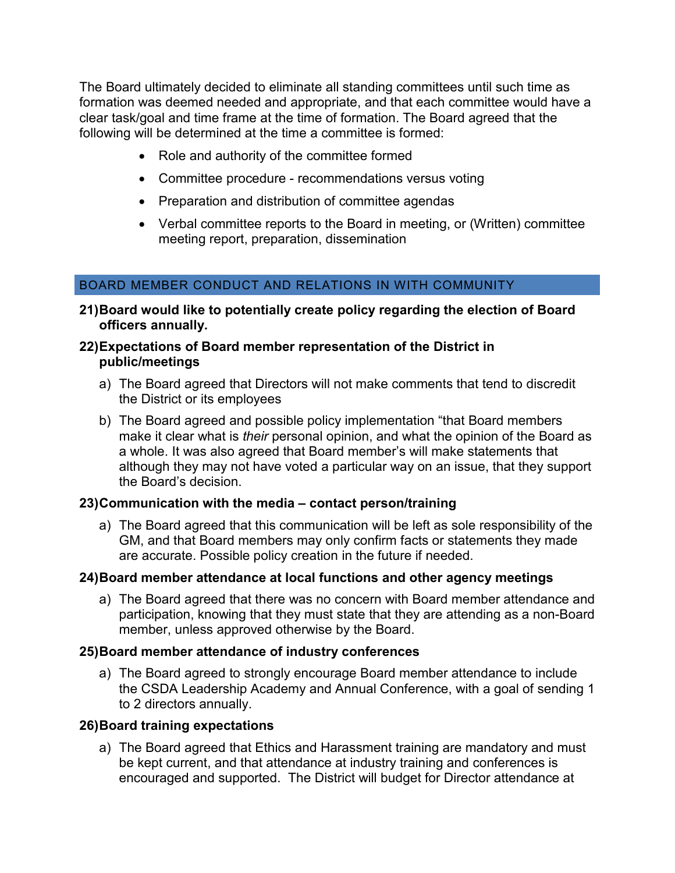The Board ultimately decided to eliminate all standing committees until such time as formation was deemed needed and appropriate, and that each committee would have a clear task/goal and time frame at the time of formation. The Board agreed that the following will be determined at the time a committee is formed:

- Role and authority of the committee formed
- Committee procedure recommendations versus voting
- Preparation and distribution of committee agendas
- Verbal committee reports to the Board in meeting, or (Written) committee meeting report, preparation, dissemination

## BOARD MEMBER CONDUCT AND RELATIONS IN WITH COMMUNITY

**21)Board would like to potentially create policy regarding the election of Board officers annually.**

#### **22)Expectations of Board member representation of the District in public/meetings**

- a) The Board agreed that Directors will not make comments that tend to discredit the District or its employees
- b) The Board agreed and possible policy implementation "that Board members make it clear what is *their* personal opinion, and what the opinion of the Board as a whole. It was also agreed that Board member's will make statements that although they may not have voted a particular way on an issue, that they support the Board's decision.

#### **23)Communication with the media – contact person/training**

a) The Board agreed that this communication will be left as sole responsibility of the GM, and that Board members may only confirm facts or statements they made are accurate. Possible policy creation in the future if needed.

#### **24)Board member attendance at local functions and other agency meetings**

a) The Board agreed that there was no concern with Board member attendance and participation, knowing that they must state that they are attending as a non-Board member, unless approved otherwise by the Board.

#### **25)Board member attendance of industry conferences**

a) The Board agreed to strongly encourage Board member attendance to include the CSDA Leadership Academy and Annual Conference, with a goal of sending 1 to 2 directors annually.

#### **26)Board training expectations**

a) The Board agreed that Ethics and Harassment training are mandatory and must be kept current, and that attendance at industry training and conferences is encouraged and supported. The District will budget for Director attendance at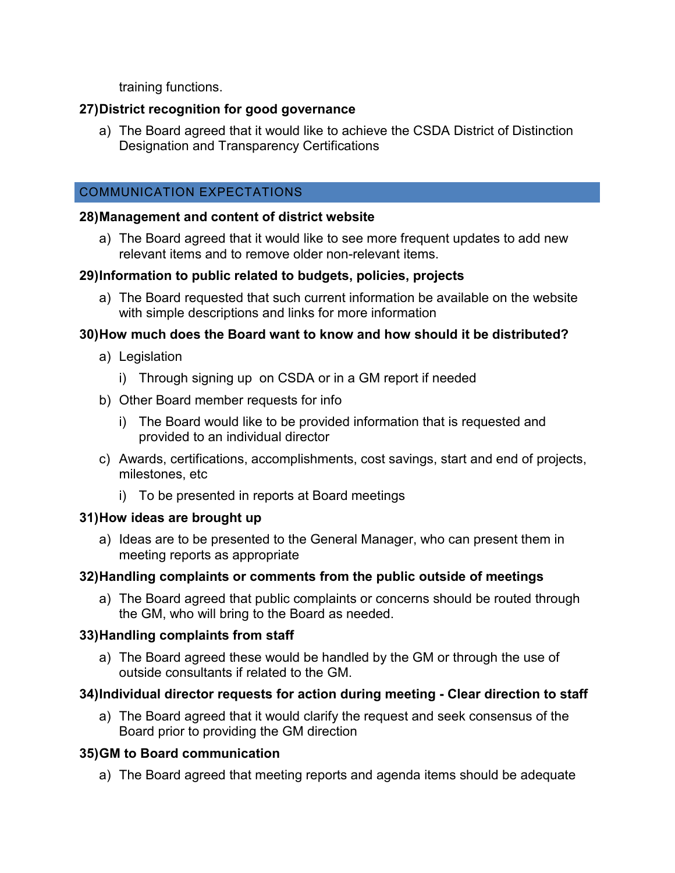training functions.

## **27)District recognition for good governance**

a) The Board agreed that it would like to achieve the CSDA District of Distinction Designation and Transparency Certifications

## COMMUNICATION EXPECTATIONS

## **28)Management and content of district website**

a) The Board agreed that it would like to see more frequent updates to add new relevant items and to remove older non-relevant items.

## **29)Information to public related to budgets, policies, projects**

a) The Board requested that such current information be available on the website with simple descriptions and links for more information

## **30)How much does the Board want to know and how should it be distributed?**

- a) Legislation
	- i) Through signing up on CSDA or in a GM report if needed
- b) Other Board member requests for info
	- i) The Board would like to be provided information that is requested and provided to an individual director
- c) Awards, certifications, accomplishments, cost savings, start and end of projects, milestones, etc
	- i) To be presented in reports at Board meetings

## **31)How ideas are brought up**

a) Ideas are to be presented to the General Manager, who can present them in meeting reports as appropriate

## **32)Handling complaints or comments from the public outside of meetings**

a) The Board agreed that public complaints or concerns should be routed through the GM, who will bring to the Board as needed.

## **33)Handling complaints from staff**

a) The Board agreed these would be handled by the GM or through the use of outside consultants if related to the GM.

## **34)Individual director requests for action during meeting - Clear direction to staff**

a) The Board agreed that it would clarify the request and seek consensus of the Board prior to providing the GM direction

## **35)GM to Board communication**

a) The Board agreed that meeting reports and agenda items should be adequate